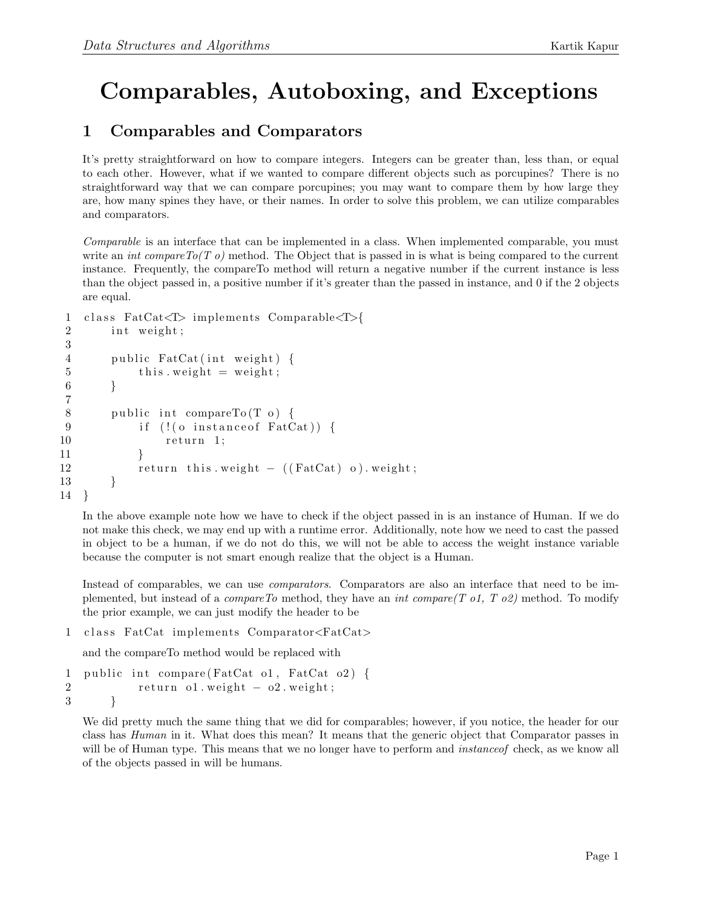## Comparables, Autoboxing, and Exceptions

## 1 Comparables and Comparators

It's pretty straightforward on how to compare integers. Integers can be greater than, less than, or equal to each other. However, what if we wanted to compare different objects such as porcupines? There is no straightforward way that we can compare porcupines; you may want to compare them by how large they are, how many spines they have, or their names. In order to solve this problem, we can utilize comparables and comparators.

Comparable is an interface that can be implemented in a class. When implemented comparable, you must write an *int compare*  $To(T_0)$  method. The Object that is passed in is what is being compared to the current instance. Frequently, the compareTo method will return a negative number if the current instance is less than the object passed in, a positive number if it's greater than the passed in instance, and 0 if the 2 objects are equal.

```
1 class FactCat\subset\Gamma implements Comparable\subset\Gamma2 int weight;
3
4 public FatCat(int weight) {
5 this weight = weight;
6 }
7
8 public int compareTo (T \ o) \ \{9 if (!(o instance of FatCat)) {
10 return 1;
11 }
12 return this weight - ((FatCat) o) weight;
13 }
14 }
```
In the above example note how we have to check if the object passed in is an instance of Human. If we do not make this check, we may end up with a runtime error. Additionally, note how we need to cast the passed in object to be a human, if we do not do this, we will not be able to access the weight instance variable because the computer is not smart enough realize that the object is a Human.

Instead of comparables, we can use comparators. Comparators are also an interface that need to be implemented, but instead of a *compareTo* method, they have an *int compare(T o1, T o2)* method. To modify the prior example, we can just modify the header to be

1 class FatCat implements Comparator<FatCat>

and the compareTo method would be replaced with

```
1 public int compare (FatCat o1, FatCat o2) {
2 \quad \text{return} \quad \text{o1. weight} - \text{o2. weight};3 }
```
We did pretty much the same thing that we did for comparables; however, if you notice, the header for our class has Human in it. What does this mean? It means that the generic object that Comparator passes in will be of Human type. This means that we no longer have to perform and *instanceof* check, as we know all of the objects passed in will be humans.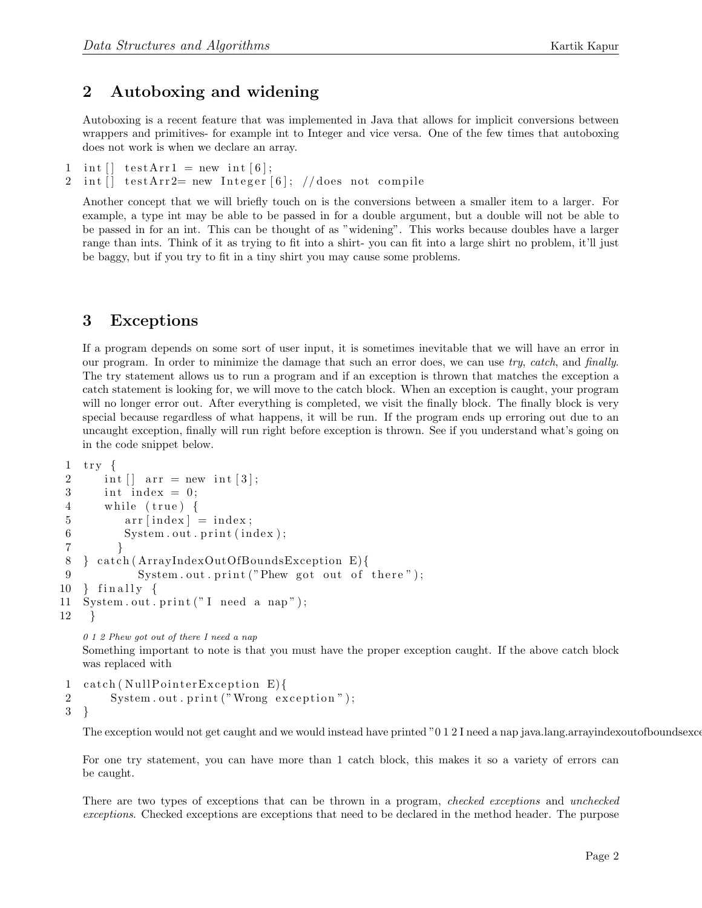## 2 Autoboxing and widening

Autoboxing is a recent feature that was implemented in Java that allows for implicit conversions between wrappers and primitives- for example int to Integer and vice versa. One of the few times that autoboxing does not work is when we declare an array.

```
1 int \begin{bmatrix} \end{bmatrix} testArr1 = new int \begin{bmatrix} 6 \end{bmatrix};
2 int [ testArr2= new Integer [6]; // does not compile
```
Another concept that we will briefly touch on is the conversions between a smaller item to a larger. For example, a type int may be able to be passed in for a double argument, but a double will not be able to be passed in for an int. This can be thought of as "widening". This works because doubles have a larger range than ints. Think of it as trying to fit into a shirt- you can fit into a large shirt no problem, it'll just be baggy, but if you try to fit in a tiny shirt you may cause some problems.

## 3 Exceptions

If a program depends on some sort of user input, it is sometimes inevitable that we will have an error in our program. In order to minimize the damage that such an error does, we can use try, catch, and finally. The try statement allows us to run a program and if an exception is thrown that matches the exception a catch statement is looking for, we will move to the catch block. When an exception is caught, your program will no longer error out. After everything is completed, we visit the finally block. The finally block is very special because regardless of what happens, it will be run. If the program ends up erroring out due to an uncaught exception, finally will run right before exception is thrown. See if you understand what's going on in the code snippet below.

```
1 try {
2 int [] arr = new int [3];3 int index = 0;
4 while (true) {
5 \quad \ar{array} \quad \text{array} = index;
6 System . out . print (index);
 7 }
8 } catch (ArrayIndexOutOfBoundsException E) {
9 System.out.print ("Phew got out of there");
10 \t{limit}11 System.out.print ("I need a nap");12 }
   0 1 2 Phew got out of there I need a nap
```
Something important to note is that you must have the proper exception caught. If the above catch block was replaced with

```
1 catch (NullPointerException E)\{2 System.out.print ("Wrong exception");
3 }
```
The exception would not get caught and we would instead have printed "0 1 2 I need a nap java.lang.arrayindexoutofboundsexce

For one try statement, you can have more than 1 catch block, this makes it so a variety of errors can be caught.

There are two types of exceptions that can be thrown in a program, checked exceptions and unchecked exceptions. Checked exceptions are exceptions that need to be declared in the method header. The purpose